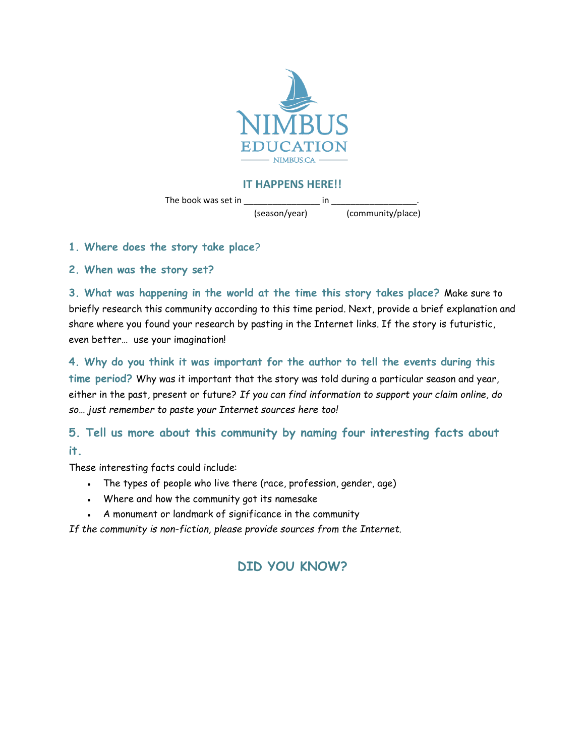

#### **IT HAPPENS HERE!!**

The book was set in \_\_\_\_\_\_\_\_\_\_\_\_\_\_\_\_ in \_\_\_\_\_\_\_\_\_\_\_\_\_\_\_\_\_\_.

(season/year) (community/place)

**1. Where does the story take place**?

**2. When was the story set?**

**3. What was happening in the world at the time this story takes place?** Make sure to briefly research this community according to this time period. Next, provide a brief explanation and share where you found your research by pasting in the Internet links. If the story is futuristic, even better… use your imagination!

**4. Why do you think it was important for the author to tell the events during this time period?** Why was it important that the story was told during a particular season and year, either in the past, present or future? *If you can find information to support your claim online, do so… just remember to paste your Internet sources here too!*

### **5. Tell us more about this community by naming four interesting facts about**

#### **it.**

These interesting facts could include:

- The types of people who live there (race, profession, gender, age)
- Where and how the community got its namesake
- A monument or landmark of significance in the community

*If the community is non-fiction, please provide sources from the Internet.*

## **DID YOU KNOW?**